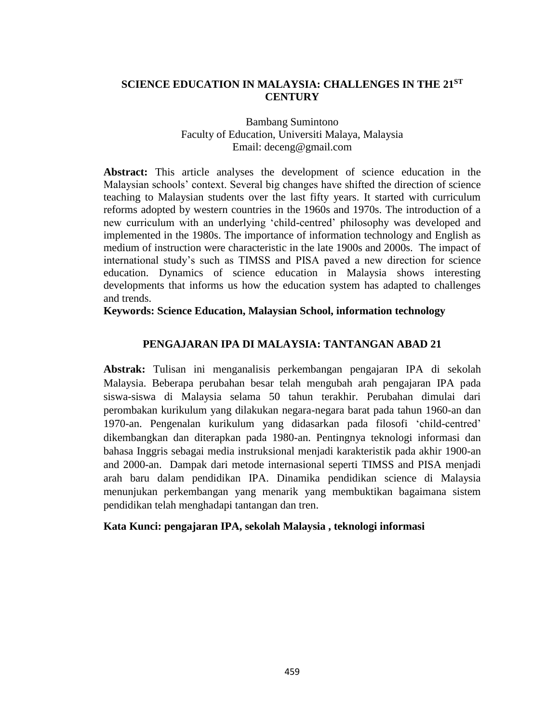## **SCIENCE EDUCATION IN MALAYSIA: CHALLENGES IN THE 21ST CENTURY**

### Bambang Sumintono Faculty of Education, Universiti Malaya, Malaysia Email: deceng@gmail.com

**Abstract:** This article analyses the development of science education in the Malaysian schools' context. Several big changes have shifted the direction of science teaching to Malaysian students over the last fifty years. It started with curriculum reforms adopted by western countries in the 1960s and 1970s. The introduction of a new curriculum with an underlying 'child-centred' philosophy was developed and implemented in the 1980s. The importance of information technology and English as medium of instruction were characteristic in the late 1900s and 2000s. The impact of international study's such as TIMSS and PISA paved a new direction for science education. Dynamics of science education in Malaysia shows interesting developments that informs us how the education system has adapted to challenges and trends.

**Keywords: Science Education, Malaysian School, information technology**

### **PENGAJARAN IPA DI MALAYSIA: TANTANGAN ABAD 21**

**Abstrak:** Tulisan ini menganalisis perkembangan pengajaran IPA di sekolah Malaysia. Beberapa perubahan besar telah mengubah arah pengajaran IPA pada siswa-siswa di Malaysia selama 50 tahun terakhir. Perubahan dimulai dari perombakan kurikulum yang dilakukan negara-negara barat pada tahun 1960-an dan 1970-an. Pengenalan kurikulum yang didasarkan pada filosofi 'child-centred' dikembangkan dan diterapkan pada 1980-an. Pentingnya teknologi informasi dan bahasa Inggris sebagai media instruksional menjadi karakteristik pada akhir 1900-an and 2000-an. Dampak dari metode internasional seperti TIMSS and PISA menjadi arah baru dalam pendidikan IPA. Dinamika pendidikan science di Malaysia menunjukan perkembangan yang menarik yang membuktikan bagaimana sistem pendidikan telah menghadapi tantangan dan tren.

### **Kata Kunci: pengajaran IPA, sekolah Malaysia , teknologi informasi**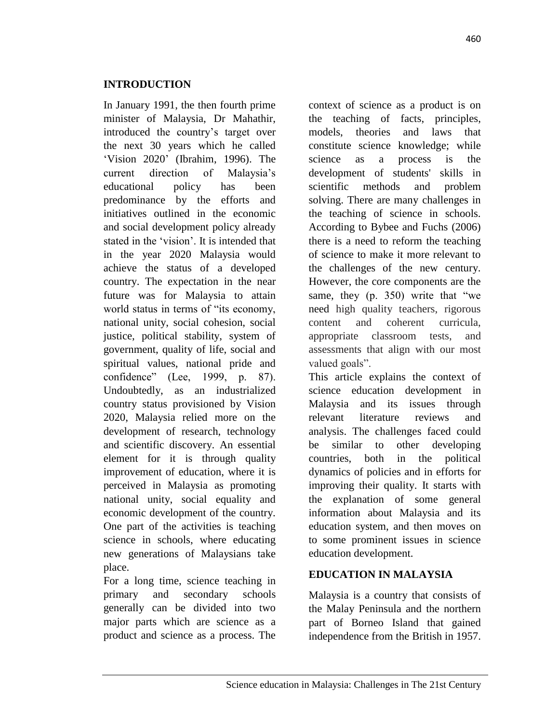In January 1991, the then fourth prime minister of Malaysia, Dr Mahathir, introduced the country's target over the next 30 years which he called 'Vision 2020' (Ibrahim, 1996). The current direction of Malaysia's educational policy has been predominance by the efforts and initiatives outlined in the economic and social development policy already stated in the 'vision'. It is intended that in the year 2020 Malaysia would achieve the status of a developed country. The expectation in the near future was for Malaysia to attain world status in terms of "its economy, national unity, social cohesion, social justice, political stability, system of government, quality of life, social and spiritual values, national pride and confidence" (Lee, 1999, p. 87). Undoubtedly, as an industrialized country status provisioned by Vision 2020, Malaysia relied more on the development of research, technology and scientific discovery. An essential element for it is through quality improvement of education, where it is perceived in Malaysia as promoting national unity, social equality and economic development of the country. One part of the activities is teaching science in schools, where educating new generations of Malaysians take place.

For a long time, science teaching in primary and secondary schools generally can be divided into two major parts which are science as a product and science as a process. The

context of science as a product is on the teaching of facts, principles, models, theories and laws that constitute science knowledge; while science as a process is the development of students' skills in scientific methods and problem solving. There are many challenges in the teaching of science in schools. According to Bybee and Fuchs (2006) there is a need to reform the teaching of science to make it more relevant to the challenges of the new century. However, the core components are the same, they (p. 350) write that "we need high quality teachers, rigorous content and coherent curricula, appropriate classroom tests, and assessments that align with our most valued goals".

This article explains the context of science education development in Malaysia and its issues through relevant literature reviews and analysis. The challenges faced could be similar to other developing countries, both in the political dynamics of policies and in efforts for improving their quality. It starts with the explanation of some general information about Malaysia and its education system, and then moves on to some prominent issues in science education development.

# **EDUCATION IN MALAYSIA**

Malaysia is a country that consists of the Malay Peninsula and the northern part of Borneo Island that gained independence from the British in 1957.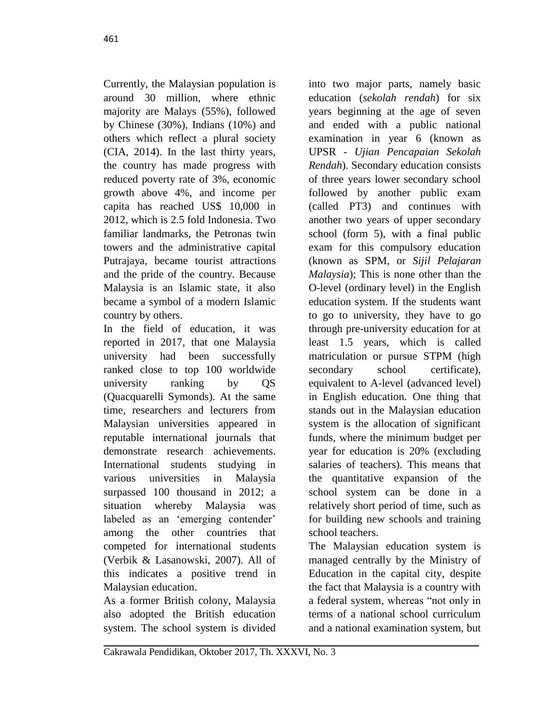Currently, the Malaysian population is around 30 million, where ethnic majority are Malays (55%), followed by Chinese (30%), Indians (10%) and others which reflect a plural society (CIA, 2014). In the last thirty years, the country has made progress with reduced poverty rate of 3%, economic growth above 4%, and income per capita has reached US\$ 10,000 in 2012, which is 2.5 fold Indonesia. Two familiar landmarks, the Petronas twin towers and the administrative capital Putrajaya, became tourist attractions and the pride of the country. Because Malaysia is an Islamic state, it also became a symbol of a modern Islamic country by others.

In the field of education, it was reported in 2017, that one Malaysia university had been successfully ranked close to top 100 worldwide university ranking by QS (Quacquarelli Symonds). At the same time, researchers and lecturers from Malaysian universities appeared in reputable international journals that demonstrate research achievements. International students studying in various universities in Malaysia surpassed 100 thousand in 2012; a situation whereby Malaysia was labeled as an 'emerging contender' among the other countries that competed for international students (Verbik & Lasanowski, 2007). All of this indicates a positive trend in Malaysian education.

As a former British colony, Malaysia also adopted the British education system. The school system is divided

into two major parts, namely basic education (*sekolah rendah*) for six years beginning at the age of seven and ended with a public national examination in year 6 (known as UPSR - *Ujian Pencapaian Sekolah Rendah*). Secondary education consists of three years lower secondary school followed by another public exam (called PT3) and continues with another two years of upper secondary school (form 5), with a final public exam for this compulsory education (known as SPM, or *Sijil Pelajaran Malaysia*); This is none other than the O-level (ordinary level) in the English education system. If the students want to go to university, they have to go through pre-university education for at least 1.5 years, which is called matriculation or pursue STPM (high secondary school certificate), equivalent to A-level (advanced level) in English education. One thing that stands out in the Malaysian education system is the allocation of significant funds, where the minimum budget per year for education is 20% (excluding salaries of teachers). This means that the quantitative expansion of the school system can be done in a relatively short period of time, such as for building new schools and training school teachers.

The Malaysian education system is managed centrally by the Ministry of Education in the capital city, despite the fact that Malaysia is a country with a federal system, whereas "not only in terms of a national school curriculum and a national examination system, but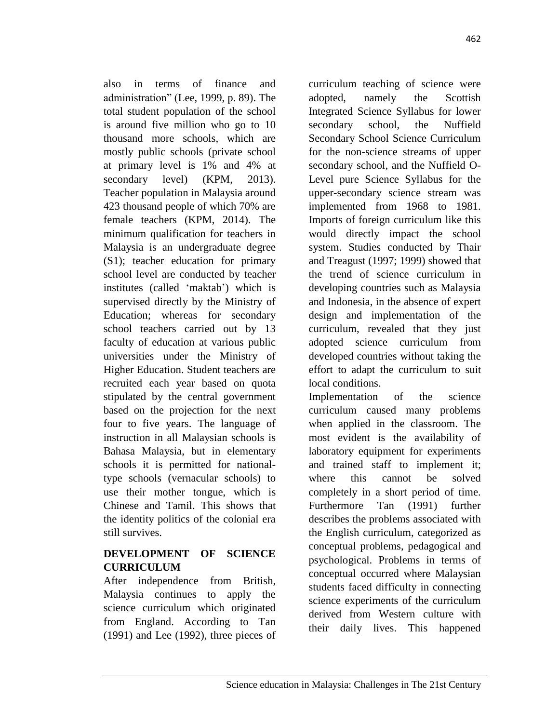also in terms of finance and administration" (Lee, 1999, p. 89). The total student population of the school is around five million who go to 10 thousand more schools, which are mostly public schools (private school at primary level is 1% and 4% at secondary level) (KPM, 2013). Teacher population in Malaysia around 423 thousand people of which 70% are female teachers (KPM, 2014). The minimum qualification for teachers in Malaysia is an undergraduate degree (S1); teacher education for primary school level are conducted by teacher institutes (called 'maktab') which is supervised directly by the Ministry of Education; whereas for secondary school teachers carried out by 13 faculty of education at various public universities under the Ministry of Higher Education. Student teachers are recruited each year based on quota stipulated by the central government based on the projection for the next four to five years. The language of instruction in all Malaysian schools is Bahasa Malaysia, but in elementary schools it is permitted for nationaltype schools (vernacular schools) to use their mother tongue, which is Chinese and Tamil. This shows that the identity politics of the colonial era still survives.

## **DEVELOPMENT OF SCIENCE CURRICULUM**

After independence from British, Malaysia continues to apply the science curriculum which originated from England. According to Tan (1991) and Lee (1992), three pieces of

curriculum teaching of science were adopted, namely the Scottish Integrated Science Syllabus for lower secondary school, the Nuffield Secondary School Science Curriculum for the non-science streams of upper secondary school, and the Nuffield O-Level pure Science Syllabus for the upper-secondary science stream was implemented from 1968 to 1981. Imports of foreign curriculum like this would directly impact the school system. Studies conducted by Thair and Treagust (1997; 1999) showed that the trend of science curriculum in developing countries such as Malaysia and Indonesia, in the absence of expert design and implementation of the curriculum, revealed that they just adopted science curriculum from developed countries without taking the effort to adapt the curriculum to suit local conditions.

Implementation of the science curriculum caused many problems when applied in the classroom. The most evident is the availability of laboratory equipment for experiments and trained staff to implement it; where this cannot be solved completely in a short period of time. Furthermore Tan (1991) further describes the problems associated with the English curriculum, categorized as conceptual problems, pedagogical and psychological. Problems in terms of conceptual occurred where Malaysian students faced difficulty in connecting science experiments of the curriculum derived from Western culture with their daily lives. This happened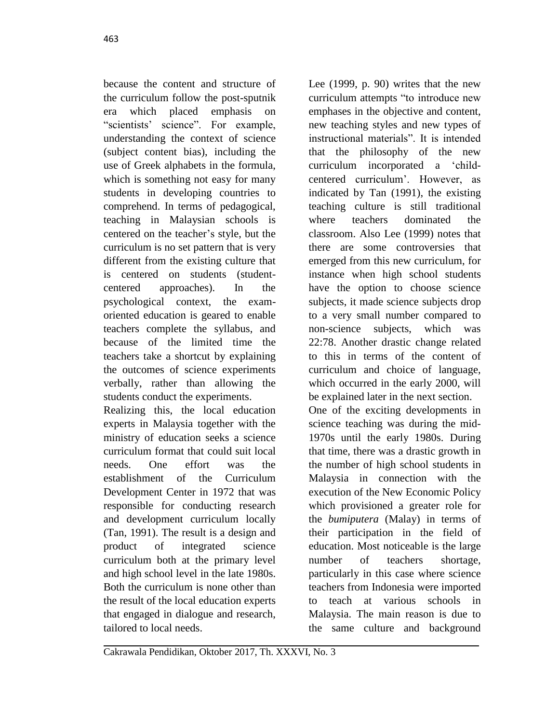because the content and structure of the curriculum follow the post-sputnik era which placed emphasis on "scientists' science". For example, understanding the context of science (subject content bias), including the use of Greek alphabets in the formula, which is something not easy for many students in developing countries to comprehend. In terms of pedagogical, teaching in Malaysian schools is centered on the teacher's style, but the curriculum is no set pattern that is very different from the existing culture that is centered on students (studentcentered approaches). In the psychological context, the examoriented education is geared to enable teachers complete the syllabus, and because of the limited time the teachers take a shortcut by explaining the outcomes of science experiments verbally, rather than allowing the students conduct the experiments.

Realizing this, the local education experts in Malaysia together with the ministry of education seeks a science curriculum format that could suit local needs. One effort was the establishment of the Curriculum Development Center in 1972 that was responsible for conducting research and development curriculum locally (Tan, 1991). The result is a design and product of integrated science curriculum both at the primary level and high school level in the late 1980s. Both the curriculum is none other than the result of the local education experts that engaged in dialogue and research, tailored to local needs.

Lee (1999, p. 90) writes that the new curriculum attempts "to introduce new emphases in the objective and content, new teaching styles and new types of instructional materials". It is intended that the philosophy of the new curriculum incorporated a 'childcentered curriculum'. However, as indicated by Tan (1991), the existing teaching culture is still traditional where teachers dominated the classroom. Also Lee (1999) notes that there are some controversies that emerged from this new curriculum, for instance when high school students have the option to choose science subjects, it made science subjects drop to a very small number compared to non-science subjects, which was 22:78. Another drastic change related to this in terms of the content of curriculum and choice of language, which occurred in the early 2000, will be explained later in the next section. One of the exciting developments in science teaching was during the mid-1970s until the early 1980s. During

that time, there was a drastic growth in the number of high school students in Malaysia in connection with the execution of the New Economic Policy which provisioned a greater role for the *bumiputera* (Malay) in terms of their participation in the field of education. Most noticeable is the large number of teachers shortage, particularly in this case where science teachers from Indonesia were imported to teach at various schools in Malaysia. The main reason is due to the same culture and background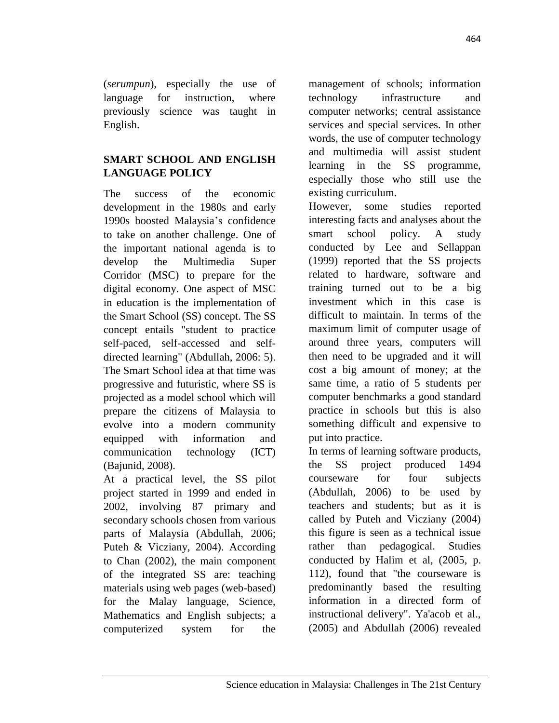(*serumpun*), especially the use of language for instruction, where previously science was taught in English.

# **SMART SCHOOL AND ENGLISH LANGUAGE POLICY**

The success of the economic development in the 1980s and early 1990s boosted Malaysia's confidence to take on another challenge. One of the important national agenda is to develop the Multimedia Super Corridor (MSC) to prepare for the digital economy. One aspect of MSC in education is the implementation of the Smart School (SS) concept. The SS concept entails "student to practice self-paced, self-accessed and selfdirected learning" (Abdullah, 2006: 5). The Smart School idea at that time was progressive and futuristic, where SS is projected as a model school which will prepare the citizens of Malaysia to evolve into a modern community equipped with information and communication technology (ICT) (Bajunid, 2008).

At a practical level, the SS pilot project started in 1999 and ended in 2002, involving 87 primary and secondary schools chosen from various parts of Malaysia (Abdullah, 2006; Puteh & Vicziany, 2004). According to Chan (2002), the main component of the integrated SS are: teaching materials using web pages (web-based) for the Malay language, Science, Mathematics and English subjects; a computerized system for the

management of schools; information technology infrastructure and computer networks; central assistance services and special services. In other words, the use of computer technology and multimedia will assist student learning in the SS programme, especially those who still use the existing curriculum.

However, some studies reported interesting facts and analyses about the smart school policy. A study conducted by Lee and Sellappan (1999) reported that the SS projects related to hardware, software and training turned out to be a big investment which in this case is difficult to maintain. In terms of the maximum limit of computer usage of around three years, computers will then need to be upgraded and it will cost a big amount of money; at the same time, a ratio of 5 students per computer benchmarks a good standard practice in schools but this is also something difficult and expensive to put into practice.

In terms of learning software products, the SS project produced 1494 courseware for four subjects (Abdullah, 2006) to be used by teachers and students; but as it is called by Puteh and Vicziany (2004) this figure is seen as a technical issue rather than pedagogical. Studies conducted by Halim et al, (2005, p. 112), found that "the courseware is predominantly based the resulting information in a directed form of instructional delivery". Ya'acob et al., (2005) and Abdullah (2006) revealed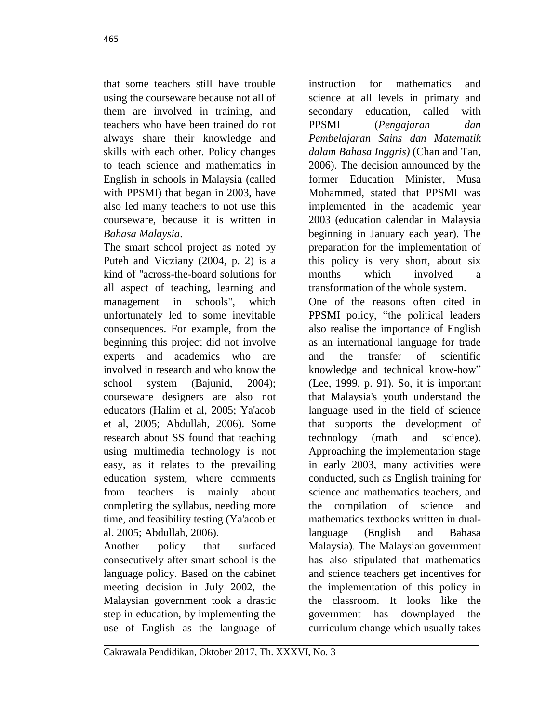that some teachers still have trouble using the courseware because not all of them are involved in training, and teachers who have been trained do not always share their knowledge and skills with each other. Policy changes to teach science and mathematics in English in schools in Malaysia (called with PPSMI) that began in 2003, have also led many teachers to not use this courseware, because it is written in *Bahasa Malaysia*.

The smart school project as noted by Puteh and Vicziany (2004, p. 2) is a kind of "across-the-board solutions for all aspect of teaching, learning and management in schools", which unfortunately led to some inevitable consequences. For example, from the beginning this project did not involve experts and academics who are involved in research and who know the school system (Bajunid, 2004); courseware designers are also not educators (Halim et al, 2005; Ya'acob et al, 2005; Abdullah, 2006). Some research about SS found that teaching using multimedia technology is not easy, as it relates to the prevailing education system, where comments from teachers is mainly about completing the syllabus, needing more time, and feasibility testing (Ya'acob et al. 2005; Abdullah, 2006).

Another policy that surfaced consecutively after smart school is the language policy. Based on the cabinet meeting decision in July 2002, the Malaysian government took a drastic step in education, by implementing the use of English as the language of

instruction for mathematics and science at all levels in primary and secondary education, called with PPSMI (*Pengajaran dan Pembelajaran Sains dan Matematik dalam Bahasa Inggris)* (Chan and Tan, 2006). The decision announced by the former Education Minister, Musa Mohammed, stated that PPSMI was implemented in the academic year 2003 (education calendar in Malaysia beginning in January each year). The preparation for the implementation of this policy is very short, about six months which involved a transformation of the whole system. One of the reasons often cited in PPSMI policy, "the political leaders also realise the importance of English as an international language for trade and the transfer of scientific knowledge and technical know-how" (Lee, 1999, p. 91). So, it is important that Malaysia's youth understand the language used in the field of science that supports the development of technology (math and science). Approaching the implementation stage in early 2003, many activities were conducted, such as English training for science and mathematics teachers, and the compilation of science and mathematics textbooks written in duallanguage (English and Bahasa Malaysia). The Malaysian government has also stipulated that mathematics and science teachers get incentives for the implementation of this policy in the classroom. It looks like the government has downplayed the curriculum change which usually takes

Cakrawala Pendidikan, Oktober 2017, Th. XXXVI, No. 3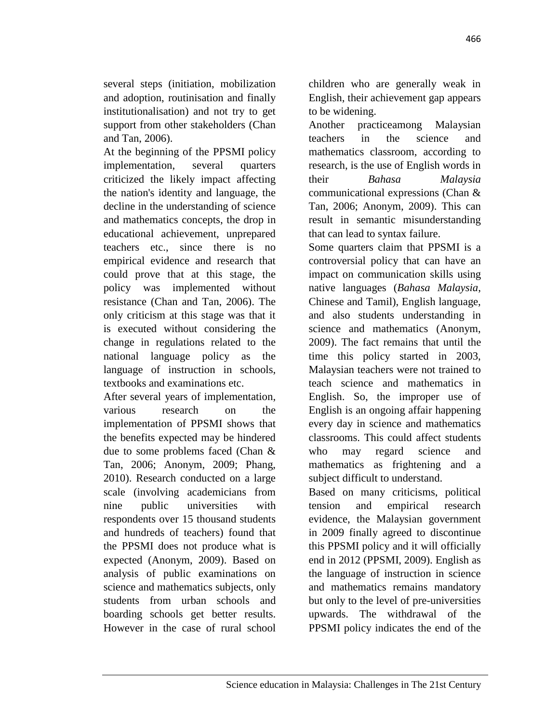several steps (initiation, mobilization and adoption, routinisation and finally institutionalisation) and not try to get support from other stakeholders (Chan and Tan, 2006).

At the beginning of the PPSMI policy implementation, several quarters criticized the likely impact affecting the nation's identity and language, the decline in the understanding of science and mathematics concepts, the drop in educational achievement, unprepared teachers etc., since there is no empirical evidence and research that could prove that at this stage, the policy was implemented without resistance (Chan and Tan, 2006). The only criticism at this stage was that it is executed without considering the change in regulations related to the national language policy as the language of instruction in schools, textbooks and examinations etc.

After several years of implementation, various research on the implementation of PPSMI shows that the benefits expected may be hindered due to some problems faced (Chan & Tan, 2006; Anonym, 2009; Phang, 2010). Research conducted on a large scale (involving academicians from nine public universities with respondents over 15 thousand students and hundreds of teachers) found that the PPSMI does not produce what is expected (Anonym, 2009). Based on analysis of public examinations on science and mathematics subjects, only students from urban schools and boarding schools get better results. However in the case of rural school

children who are generally weak in English, their achievement gap appears to be widening.

Another practiceamong Malaysian teachers in the science and mathematics classroom, according to research, is the use of English words in their *Bahasa Malaysia* communicational expressions (Chan & Tan, 2006; Anonym, 2009). This can result in semantic misunderstanding that can lead to syntax failure.

Some quarters claim that PPSMI is a controversial policy that can have an impact on communication skills using native languages (*Bahasa Malaysia*, Chinese and Tamil), English language, and also students understanding in science and mathematics (Anonym, 2009). The fact remains that until the time this policy started in 2003, Malaysian teachers were not trained to teach science and mathematics in English. So, the improper use of English is an ongoing affair happening every day in science and mathematics classrooms. This could affect students who may regard science and mathematics as frightening and a subject difficult to understand.

Based on many criticisms, political tension and empirical research evidence, the Malaysian government in 2009 finally agreed to discontinue this PPSMI policy and it will officially end in 2012 (PPSMI, 2009). English as the language of instruction in science and mathematics remains mandatory but only to the level of pre-universities upwards. The withdrawal of the PPSMI policy indicates the end of the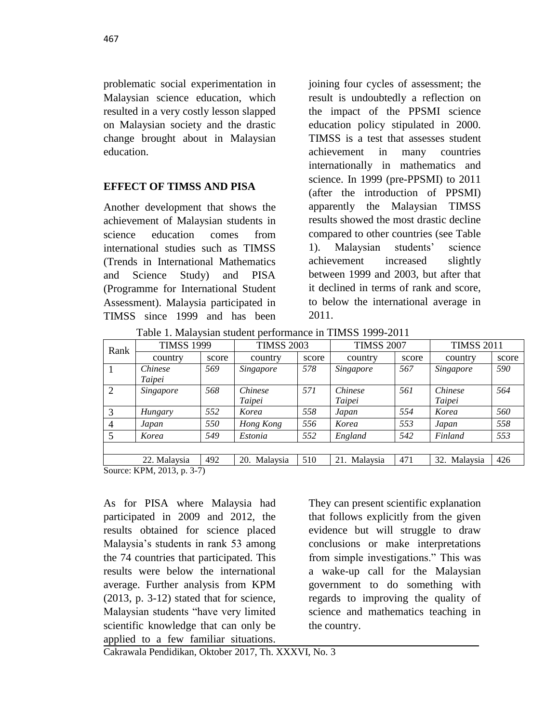problematic social experimentation in Malaysian science education, which resulted in a very costly lesson slapped on Malaysian society and the drastic change brought about in Malaysian education.

### **EFFECT OF TIMSS AND PISA**

Another development that shows the achievement of Malaysian students in science education comes from international studies such as TIMSS (Trends in International Mathematics and Science Study) and PISA (Programme for International Student Assessment). Malaysia participated in TIMSS since 1999 and has been joining four cycles of assessment; the result is undoubtedly a reflection on the impact of the PPSMI science education policy stipulated in 2000. TIMSS is a test that assesses student achievement in many countries internationally in mathematics and science. In 1999 (pre-PPSMI) to 2011 (after the introduction of PPSMI) apparently the Malaysian TIMSS results showed the most drastic decline compared to other countries (see Table 1). Malaysian students' science achievement increased slightly between 1999 and 2003, but after that it declined in terms of rank and score, to below the international average in 2011.

Table 1. Malaysian student performance in TIMSS 1999-2011

| Rank | <b>TIMSS 1999</b> |       | <b>TIMSS 2003</b> |       | <b>TIMSS 2007</b> |       | <b>TIMSS 2011</b> |       |
|------|-------------------|-------|-------------------|-------|-------------------|-------|-------------------|-------|
|      | country           | score | country           | score | country           | score | country           | score |
|      | <i>Chinese</i>    | 569   | Singapore         | 578   | Singapore         | 567   | Singapore         | 590   |
|      | Taipei            |       |                   |       |                   |       |                   |       |
| 2    | Singapore         | 568   | Chinese           | 571   | <i>Chinese</i>    | 561   | <i>Chinese</i>    | 564   |
|      |                   |       | Taipei            |       | Taipei            |       | Taipei            |       |
| 3    | Hungary           | 552   | Korea             | 558   | Japan             | 554   | Korea             | 560   |
|      | Japan             | 550   | Hong Kong         | 556   | Korea             | 553   | Japan             | 558   |
| 5    | Korea             | 549   | Estonia           | 552   | England           | 542   | Finland           | 553   |
|      |                   |       |                   |       |                   |       |                   |       |
|      | 22. Malaysia      | 492   | 20. Malaysia      | 510   | 21. Malaysia      | 471   | 32. Malaysia      | 426   |

Source: KPM, 2013, p. 3-7)

As for PISA where Malaysia had participated in 2009 and 2012, the results obtained for science placed Malaysia's students in rank 53 among the 74 countries that participated. This results were below the international average. Further analysis from KPM  $(2013, p. 3-12)$  stated that for science, Malaysian students "have very limited scientific knowledge that can only be applied to a few familiar situations.

They can present scientific explanation that follows explicitly from the given evidence but will struggle to draw conclusions or make interpretations from simple investigations." This was a wake-up call for the Malaysian government to do something with regards to improving the quality of science and mathematics teaching in the country.

Cakrawala Pendidikan, Oktober 2017, Th. XXXVI, No. 3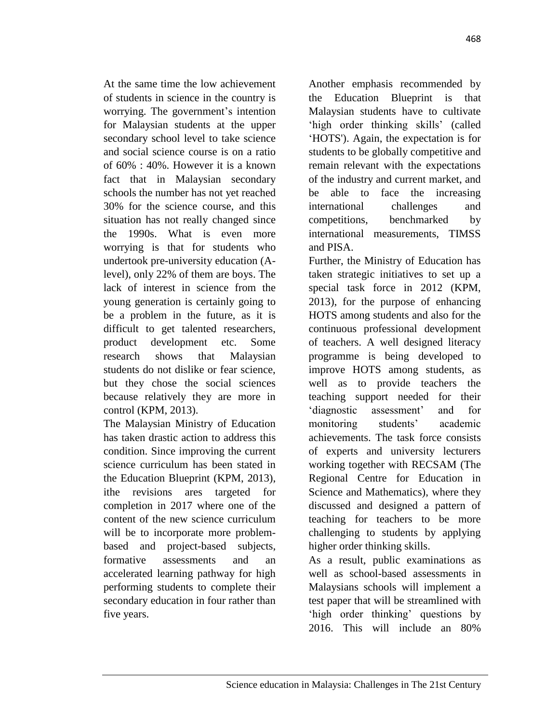At the same time the low achievement of students in science in the country is worrying. The government's intention for Malaysian students at the upper secondary school level to take science and social science course is on a ratio of 60% : 40%. However it is a known fact that in Malaysian secondary schools the number has not yet reached 30% for the science course, and this situation has not really changed since the 1990s. What is even more worrying is that for students who undertook pre-university education (Alevel), only 22% of them are boys. The lack of interest in science from the young generation is certainly going to be a problem in the future, as it is difficult to get talented researchers, product development etc. Some research shows that Malaysian students do not dislike or fear science, but they chose the social sciences because relatively they are more in control (KPM, 2013).

The Malaysian Ministry of Education has taken drastic action to address this condition. Since improving the current science curriculum has been stated in the Education Blueprint (KPM, 2013), ithe revisions ares targeted for completion in 2017 where one of the content of the new science curriculum will be to incorporate more problembased and project-based subjects, formative assessments and an accelerated learning pathway for high performing students to complete their secondary education in four rather than five years.

Another emphasis recommended by the Education Blueprint is that Malaysian students have to cultivate 'high order thinking skills' (called 'HOTS'). Again, the expectation is for students to be globally competitive and remain relevant with the expectations of the industry and current market, and be able to face the increasing international challenges and competitions, benchmarked by international measurements, TIMSS and PISA.

Further, the Ministry of Education has taken strategic initiatives to set up a special task force in 2012 (KPM, 2013), for the purpose of enhancing HOTS among students and also for the continuous professional development of teachers. A well designed literacy programme is being developed to improve HOTS among students, as well as to provide teachers the teaching support needed for their 'diagnostic assessment' and for monitoring students' academic achievements. The task force consists of experts and university lecturers working together with RECSAM (The Regional Centre for Education in Science and Mathematics), where they discussed and designed a pattern of teaching for teachers to be more challenging to students by applying higher order thinking skills.

As a result, public examinations as well as school-based assessments in Malaysians schools will implement a test paper that will be streamlined with 'high order thinking' questions by 2016. This will include an 80%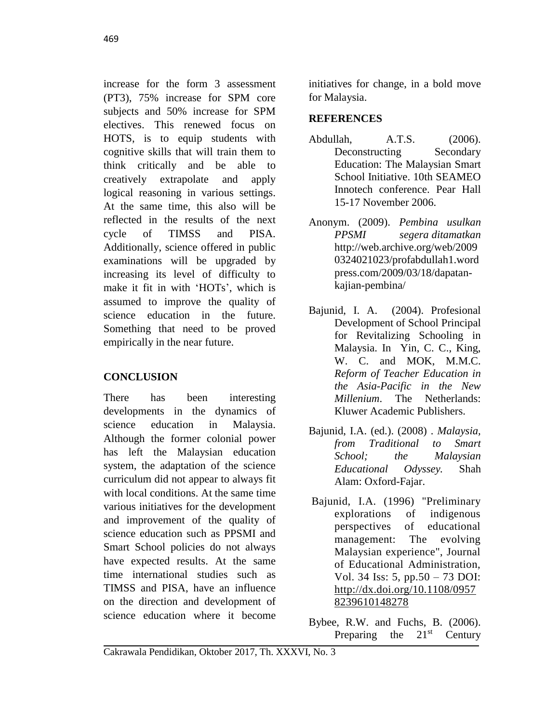increase for the form 3 assessment (PT3), 75% increase for SPM core subjects and 50% increase for SPM electives. This renewed focus on HOTS, is to equip students with cognitive skills that will train them to think critically and be able to creatively extrapolate and apply logical reasoning in various settings. At the same time, this also will be reflected in the results of the next cycle of TIMSS and PISA. Additionally, science offered in public examinations will be upgraded by increasing its level of difficulty to make it fit in with 'HOTs', which is assumed to improve the quality of science education in the future. Something that need to be proved empirically in the near future.

# **CONCLUSION**

There has been interesting developments in the dynamics of science education in Malaysia. Although the former colonial power has left the Malaysian education system, the adaptation of the science curriculum did not appear to always fit with local conditions. At the same time various initiatives for the development and improvement of the quality of science education such as PPSMI and Smart School policies do not always have expected results. At the same time international studies such as TIMSS and PISA, have an influence on the direction and development of science education where it become

initiatives for change, in a bold move for Malaysia.

## **REFERENCES**

- Abdullah, A.T.S. (2006). Deconstructing Secondary Education: The Malaysian Smart School Initiative. 10th SEAMEO Innotech conference. Pear Hall 15-17 November 2006.
- Anonym. (2009). *[Pembina usulkan](http://web.archive.org/web/20090324021023/http:/profabdullah1.wordpress.com/2009/03/18/dapatan-kajian-pembina/)  [PPSMI segera](http://web.archive.org/web/20090324021023/http:/profabdullah1.wordpress.com/2009/03/18/dapatan-kajian-pembina/) ditamatkan* [http://web.archive.org/web/2009](http://web.archive.org/web/20090324021023/profabdullah1.wordpress.com/2009/03/18/dapatan-kajian-pembina/) [0324021023/profabdullah1.word](http://web.archive.org/web/20090324021023/profabdullah1.wordpress.com/2009/03/18/dapatan-kajian-pembina/) [press.com/2009/03/18/dapatan](http://web.archive.org/web/20090324021023/profabdullah1.wordpress.com/2009/03/18/dapatan-kajian-pembina/)[kajian-pembina/](http://web.archive.org/web/20090324021023/profabdullah1.wordpress.com/2009/03/18/dapatan-kajian-pembina/)
- Bajunid, I. A. (2004). Profesional Development of School Principal for Revitalizing Schooling in Malaysia. In Yin, C. C., King, W. C. and MOK, M.M.C. *Reform of Teacher Education in the Asia-Pacific in the New Millenium*. The Netherlands: Kluwer Academic Publishers.
- Bajunid, I.A. (ed.). (2008) . *Malaysia, from Traditional to Smart School; the Malaysian Educational Odyssey.* Shah Alam: Oxford-Fajar.
- [Bajunid,](http://www.emeraldinsight.com/author/Bajunid%2C+Ibrahim+Ahmad) I.A. (1996) "Preliminary explorations of indigenous perspectives of educational management: The evolving Malaysian experience", Journal of Educational Administration, Vol. 34 Iss: 5, pp.50 – 73 DOI: [http://dx.doi.org/10.1108/0957](http://dx.doi.org/10.1108/09578239610148278) [8239610148278](http://dx.doi.org/10.1108/09578239610148278)
- Bybee, R.W. and Fuchs, B. (2006). Preparing the  $21<sup>st</sup>$  Century

Cakrawala Pendidikan, Oktober 2017, Th. XXXVI, No. 3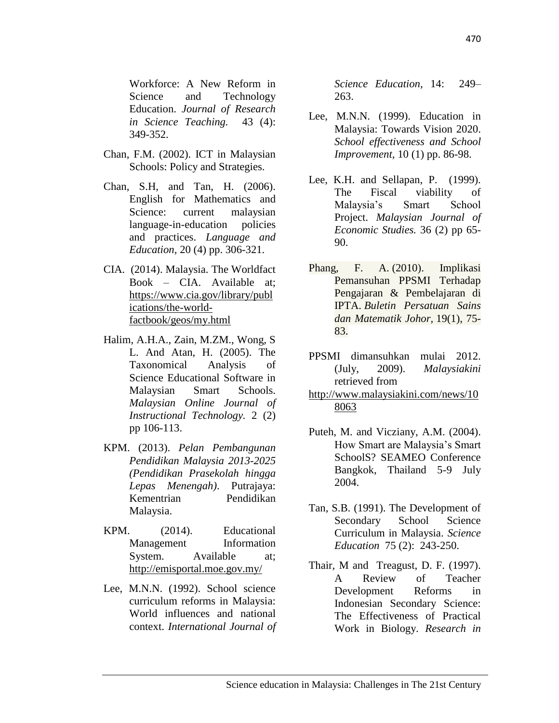Workforce: A New Reform in Science and Technology Education. *Journal of Research in Science Teaching.* 43 (4): 349-352.

- Chan, F.M. (2002). ICT in Malaysian Schools: Policy and Strategies.
- Chan, S.H, and Tan, H. (2006). English for Mathematics and Science: current malaysian language-in-education policies and practices. *Language and Education,* 20 (4) pp. 306-321.
- CIA. (2014). Malaysia. The Worldfact Book – CIA. Available at; [https://www.cia.gov/library/publ](https://www.cia.gov/library/publications/the-world-factbook/geos/my.html) [ications/the-world](https://www.cia.gov/library/publications/the-world-factbook/geos/my.html)[factbook/geos/my.html](https://www.cia.gov/library/publications/the-world-factbook/geos/my.html)
- Halim, A.H.A., Zain, M.ZM., Wong, S L. And Atan, H. (2005). The Taxonomical Analysis of Science Educational Software in Malaysian Smart Schools. *Malaysian Online Journal of Instructional Technology.* 2 (2) pp 106-113.
- KPM. (2013). *Pelan Pembangunan Pendidikan Malaysia 2013-2025 (Pendidikan Prasekolah hingga Lepas Menengah)*. Putrajaya: Kementrian Pendidikan Malaysia.
- KPM. (2014). Educational Management Information System. Available at: <http://emisportal.moe.gov.my/>
- Lee, M.N.N. (1992). School science curriculum reforms in Malaysia: World influences and national context. *International Journal of*

*Science Education*, 14: 249– 263.

- Lee, M.N.N. (1999). Education in Malaysia: Towards Vision 2020. *School effectiveness and School Improvement,* 10 (1) pp. 86-98.
- Lee, K.H. and Sellapan, P. (1999). The Fiscal viability of Malaysia's Smart School Project. *Malaysian Journal of Economic Studies.* 36 (2) pp 65- 90.
- Phang, F. A. (2010). Implikasi Pemansuhan PPSMI Terhadap Pengajaran & Pembelajaran di IPTA. *Buletin Persatuan Sains dan Matematik Johor,* 19(1), 75- 83.
- PPSMI dimansuhkan mulai 2012. (July, 2009). *Malaysiakini* retrieved from
- [http://www.malaysiakini.com/news/10](http://www.malaysiakini.com/news/108063) [8063](http://www.malaysiakini.com/news/108063)
- Puteh, M. and Vicziany, A.M. (2004). How Smart are Malaysia's Smart SchoolS? SEAMEO Conference Bangkok, Thailand 5-9 July 2004.
- Tan, S.B. (1991). The Development of Secondary School Science Curriculum in Malaysia. *Science Education* 75 (2): 243-250.
- Thair, M and Treagust, D. F. (1997). A Review of Teacher Development Reforms in Indonesian Secondary Science: The Effectiveness of Practical Work in Biology. *Research in*